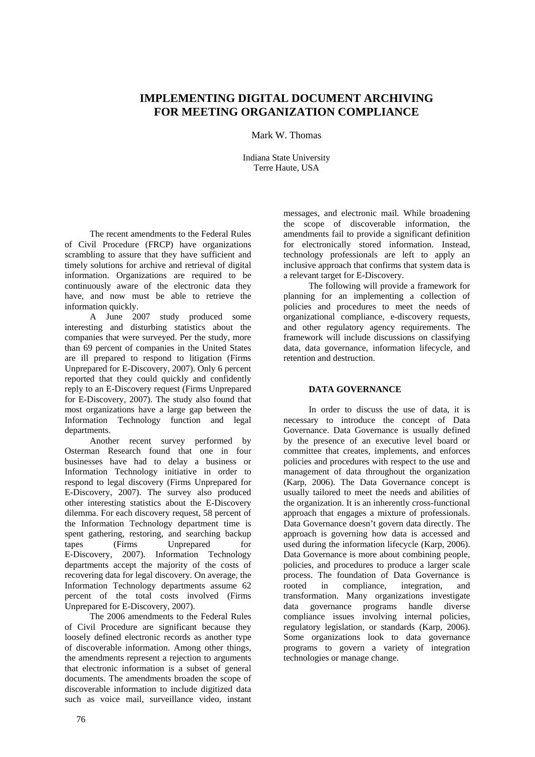# **IMPLEMENTING DIGITAL DOCUMENT ARCHIVING FOR MEETING ORGANIZATION COMPLIANCE**

Mark W. Thomas

Indiana State University Terre Haute, USA

The recent amendments to the Federal Rules of Civil Procedure (FRCP) have organizations scrambling to assure that they have sufficient and timely solutions for archive and retrieval of digital information. Organizations are required to be continuously aware of the electronic data they have, and now must be able to retrieve the information quickly.

A June 2007 study produced some interesting and disturbing statistics about the companies that were surveyed. Per the study, more than 69 percent of companies in the United States are ill prepared to respond to litigation (Firms Unprepared for E-Discovery, 2007). Only 6 percent reported that they could quickly and confidently reply to an E-Discovery request (Firms Unprepared for E-Discovery, 2007). The study also found that most organizations have a large gap between the Information Technology function and legal departments.

Another recent survey performed by Osterman Research found that one in four businesses have had to delay a business or Information Technology initiative in order to respond to legal discovery (Firms Unprepared for E-Discovery, 2007). The survey also produced other interesting statistics about the E-Discovery dilemma. For each discovery request, 58 percent of the Information Technology department time is spent gathering, restoring, and searching backup tapes (Firms Unprepared for E-Discovery, 2007). Information Technology departments accept the majority of the costs of recovering data for legal discovery. On average, the Information Technology departments assume 62 percent of the total costs involved (Firms Unprepared for E-Discovery, 2007).

The 2006 amendments to the Federal Rules of Civil Procedure are significant because they loosely defined electronic records as another type of discoverable information. Among other things, the amendments represent a rejection to arguments that electronic information is a subset of general documents. The amendments broaden the scope of discoverable information to include digitized data such as voice mail, surveillance video, instant

messages, and electronic mail. While broadening the scope of discoverable information, the amendments fail to provide a significant definition for electronically stored information. Instead, technology professionals are left to apply an inclusive approach that confirms that system data is a relevant target for E-Discovery.

The following will provide a framework for planning for an implementing a collection of policies and procedures to meet the needs of organizational compliance, e-discovery requests, and other regulatory agency requirements. The framework will include discussions on classifying data, data governance, information lifecycle, and retention and destruction.

# **DATA GOVERNANCE**

In order to discuss the use of data, it is necessary to introduce the concept of Data Governance. Data Governance is usually defined by the presence of an executive level board or committee that creates, implements, and enforces policies and procedures with respect to the use and management of data throughout the organization (Karp, 2006). The Data Governance concept is usually tailored to meet the needs and abilities of the organization. It is an inherently cross-functional approach that engages a mixture of professionals. Data Governance doesn't govern data directly. The approach is governing how data is accessed and used during the information lifecycle (Karp, 2006). Data Governance is more about combining people, policies, and procedures to produce a larger scale process. The foundation of Data Governance is rooted in compliance, integration, and transformation. Many organizations investigate data governance programs handle diverse compliance issues involving internal policies, regulatory legislation, or standards (Karp, 2006). Some organizations look to data governance programs to govern a variety of integration technologies or manage change.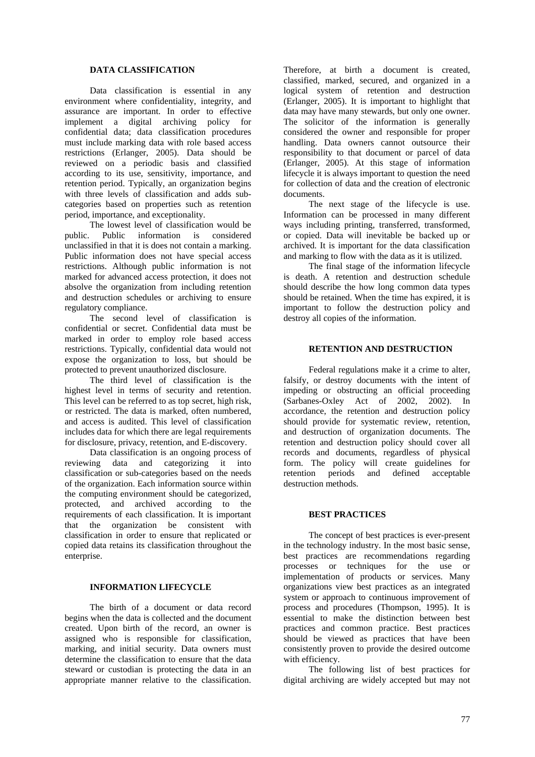## **DATA CLASSIFICATION**

Data classification is essential in any environment where confidentiality, integrity, and assurance are important. In order to effective implement a digital archiving policy for confidential data; data classification procedures must include marking data with role based access restrictions (Erlanger, 2005). Data should be reviewed on a periodic basis and classified according to its use, sensitivity, importance, and retention period. Typically, an organization begins with three levels of classification and adds subcategories based on properties such as retention period, importance, and exceptionality.

The lowest level of classification would be public. Public information is considered unclassified in that it is does not contain a marking. Public information does not have special access restrictions. Although public information is not marked for advanced access protection, it does not absolve the organization from including retention and destruction schedules or archiving to ensure regulatory compliance.

The second level of classification is confidential or secret. Confidential data must be marked in order to employ role based access restrictions. Typically, confidential data would not expose the organization to loss, but should be protected to prevent unauthorized disclosure.

The third level of classification is the highest level in terms of security and retention. This level can be referred to as top secret, high risk, or restricted. The data is marked, often numbered, and access is audited. This level of classification includes data for which there are legal requirements for disclosure, privacy, retention, and E-discovery.

Data classification is an ongoing process of reviewing data and categorizing it into classification or sub-categories based on the needs of the organization. Each information source within the computing environment should be categorized, protected, and archived according to the requirements of each classification. It is important that the organization be consistent with classification in order to ensure that replicated or copied data retains its classification throughout the enterprise.

## **INFORMATION LIFECYCLE**

The birth of a document or data record begins when the data is collected and the document created. Upon birth of the record, an owner is assigned who is responsible for classification, marking, and initial security. Data owners must determine the classification to ensure that the data steward or custodian is protecting the data in an appropriate manner relative to the classification. Therefore, at birth a document is created, classified, marked, secured, and organized in a logical system of retention and destruction (Erlanger, 2005). It is important to highlight that data may have many stewards, but only one owner. The solicitor of the information is generally considered the owner and responsible for proper handling. Data owners cannot outsource their responsibility to that document or parcel of data (Erlanger, 2005). At this stage of information lifecycle it is always important to question the need for collection of data and the creation of electronic documents.

The next stage of the lifecycle is use. Information can be processed in many different ways including printing, transferred, transformed, or copied. Data will inevitable be backed up or archived. It is important for the data classification and marking to flow with the data as it is utilized.

The final stage of the information lifecycle is death. A retention and destruction schedule should describe the how long common data types should be retained. When the time has expired, it is important to follow the destruction policy and destroy all copies of the information.

## **RETENTION AND DESTRUCTION**

Federal regulations make it a crime to alter, falsify, or destroy documents with the intent of impeding or obstructing an official proceeding (Sarbanes-Oxley Act of 2002, 2002). In accordance, the retention and destruction policy should provide for systematic review, retention, and destruction of organization documents. The retention and destruction policy should cover all records and documents, regardless of physical form. The policy will create guidelines for retention periods and defined acceptable destruction methods.

#### **BEST PRACTICES**

The concept of best practices is ever-present in the technology industry. In the most basic sense, best practices are recommendations regarding processes or techniques for the use or implementation of products or services. Many organizations view best practices as an integrated system or approach to continuous improvement of process and procedures (Thompson, 1995). It is essential to make the distinction between best practices and common practice. Best practices should be viewed as practices that have been consistently proven to provide the desired outcome with efficiency.

The following list of best practices for digital archiving are widely accepted but may not